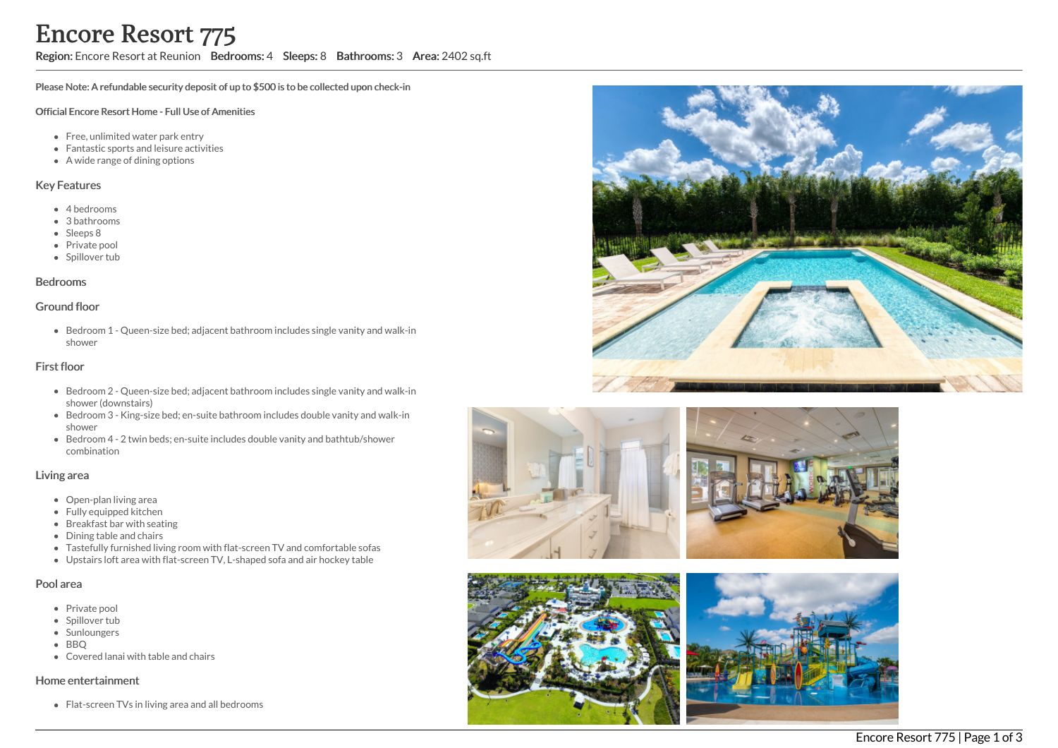## Region: Encore Resort at Reunion Bedrooms: 4 Sleeps: 8 Bathrooms: 3 Area: 2402 sq.ft

Please Note: A refundable security deposit of up to \$500 is to be collected upon check-in

#### Official Encore Resort Home - Full Use of Amenities

- Free, unlimited water park entry
- Fantastic sports and leisure activities
- A wide range of dining options

### Key Features

- 4 bedrooms
- 3 bathrooms
- Sleeps 8
- Private pool
- Spillover tub

#### Bedrooms

#### Ground floor

Bedroom 1 - Queen-size bed; adjacent bathroom includes single vanity and walk-in shower

#### First floor

- Bedroom 2 Queen-size bed; adjacent bathroom includes single vanity and walk-in shower (downstairs)
- Bedroom 3 King-size bed; en-suite bathroom includes double vanity and walk-in shower
- Bedroom 4 2 twin beds; en-suite includes double vanity and bathtub/shower combination

#### Living area

- Open-plan living area
- Fully equipped kitchen
- Breakfast bar with seating
- Dining table and chairs
- Tastefully furnished living room with flat-screen TV and comfortable sofas
- Upstairs loft area with flat-screen TV, L-shaped sofa and air hockey table

#### Pool area

- Private pool
- Spillover tub
- Sunloungers
- BBO
- Covered lanai with table and chairs

#### Home entertainment

Flat-screen TVs in living area and all bedrooms







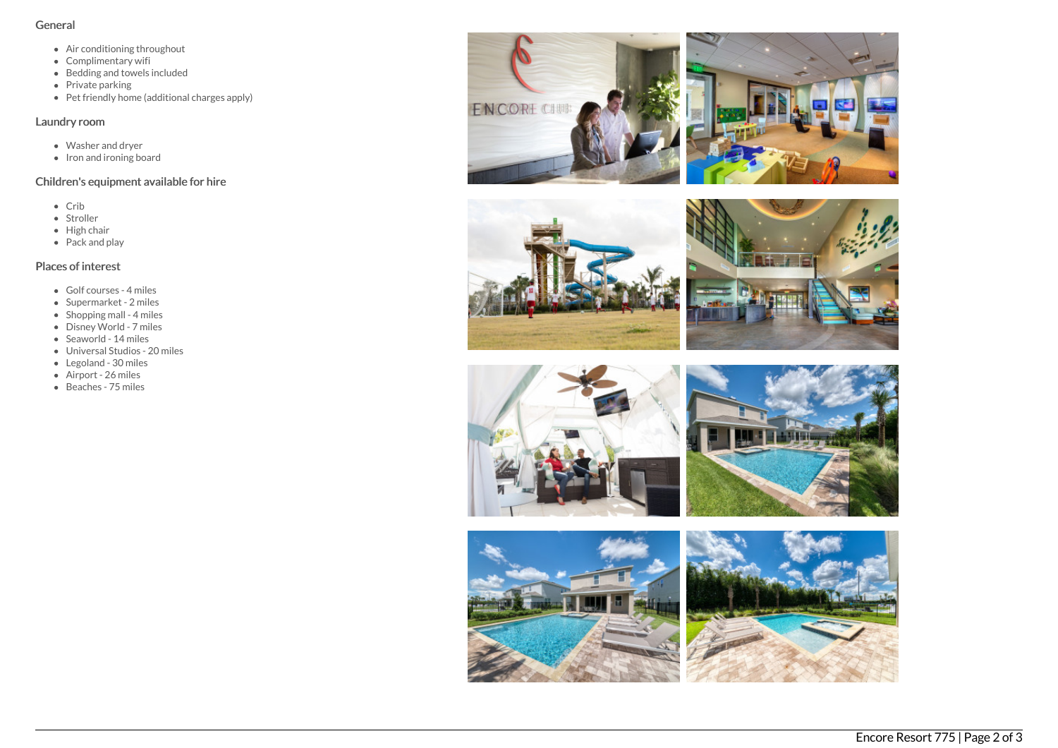### General

- Air conditioning throughout
- Complimentary wifi
- Bedding and towels included
- Private parking
- Pet friendly home (additional charges apply)

## Laundry room

- Washer and dryer
- Iron and ironing board

# Children's equipment available for hire

- Crib
- Stroller
- High chair
- Pack and play

## Places of interest

- Golf courses 4 miles
- Supermarket 2 miles
- Shopping mall 4 miles
- Disney World 7 miles
- Seaworld 14 miles
- Universal Studios 20 miles
- Legoland 30 miles
- Airport 26 miles
- Beaches 75 miles